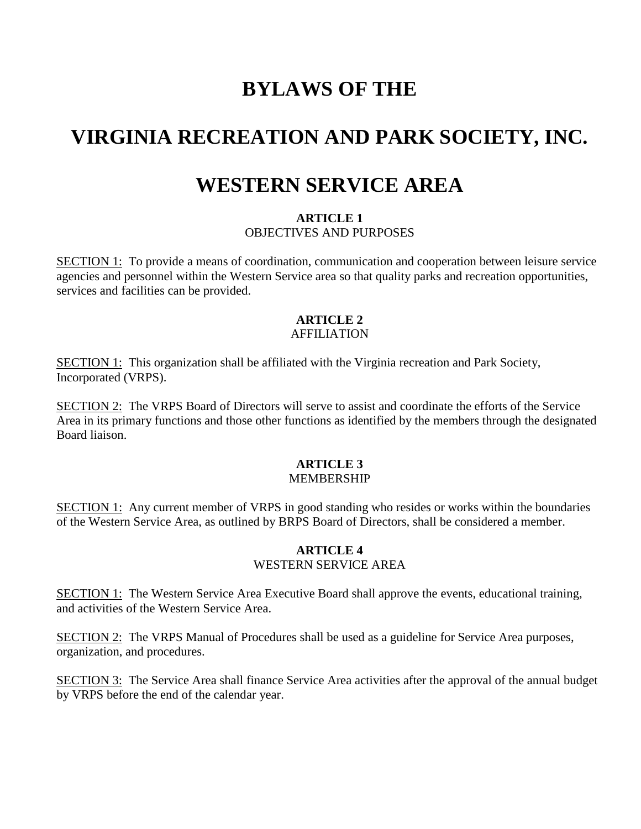## **BYLAWS OF THE**

# **VIRGINIA RECREATION AND PARK SOCIETY, INC.**

## **WESTERN SERVICE AREA**

#### **ARTICLE 1** OBJECTIVES AND PURPOSES

SECTION 1: To provide a means of coordination, communication and cooperation between leisure service agencies and personnel within the Western Service area so that quality parks and recreation opportunities, services and facilities can be provided.

### **ARTICLE 2**

### AFFILIATION

SECTION 1: This organization shall be affiliated with the Virginia recreation and Park Society, Incorporated (VRPS).

SECTION 2: The VRPS Board of Directors will serve to assist and coordinate the efforts of the Service Area in its primary functions and those other functions as identified by the members through the designated Board liaison.

#### **ARTICLE 3** MEMBERSHIP

SECTION 1: Any current member of VRPS in good standing who resides or works within the boundaries of the Western Service Area, as outlined by BRPS Board of Directors, shall be considered a member.

#### **ARTICLE 4** WESTERN SERVICE AREA

SECTION 1: The Western Service Area Executive Board shall approve the events, educational training, and activities of the Western Service Area.

SECTION 2: The VRPS Manual of Procedures shall be used as a guideline for Service Area purposes, organization, and procedures.

SECTION 3: The Service Area shall finance Service Area activities after the approval of the annual budget by VRPS before the end of the calendar year.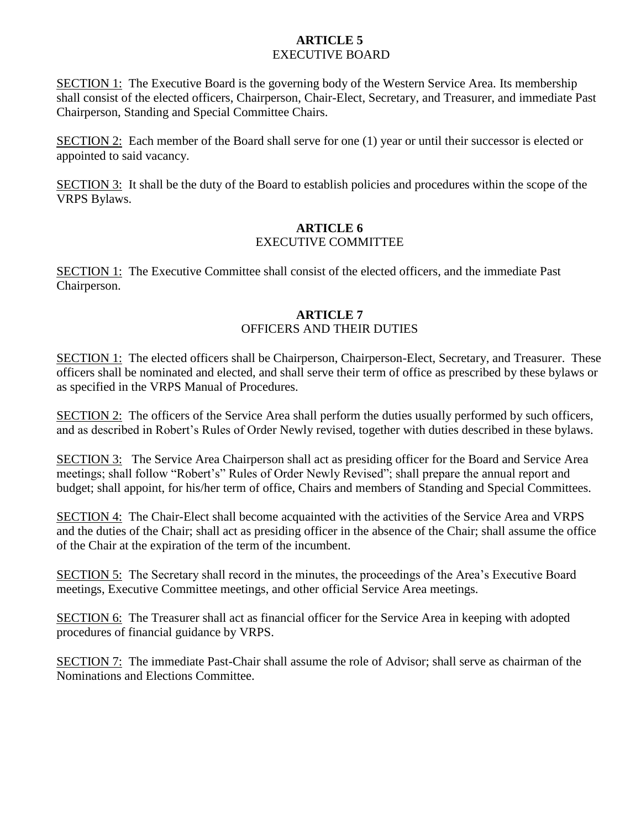### **ARTICLE 5** EXECUTIVE BOARD

SECTION 1: The Executive Board is the governing body of the Western Service Area. Its membership shall consist of the elected officers, Chairperson, Chair-Elect, Secretary, and Treasurer, and immediate Past Chairperson, Standing and Special Committee Chairs.

SECTION 2: Each member of the Board shall serve for one (1) year or until their successor is elected or appointed to said vacancy.

SECTION 3: It shall be the duty of the Board to establish policies and procedures within the scope of the VRPS Bylaws.

### **ARTICLE 6** EXECUTIVE COMMITTEE

SECTION 1: The Executive Committee shall consist of the elected officers, and the immediate Past Chairperson.

#### **ARTICLE 7** OFFICERS AND THEIR DUTIES

SECTION 1: The elected officers shall be Chairperson, Chairperson-Elect, Secretary, and Treasurer. These officers shall be nominated and elected, and shall serve their term of office as prescribed by these bylaws or as specified in the VRPS Manual of Procedures.

SECTION 2: The officers of the Service Area shall perform the duties usually performed by such officers, and as described in Robert's Rules of Order Newly revised, together with duties described in these bylaws.

SECTION 3: The Service Area Chairperson shall act as presiding officer for the Board and Service Area meetings; shall follow "Robert's" Rules of Order Newly Revised"; shall prepare the annual report and budget; shall appoint, for his/her term of office, Chairs and members of Standing and Special Committees.

SECTION 4: The Chair-Elect shall become acquainted with the activities of the Service Area and VRPS and the duties of the Chair; shall act as presiding officer in the absence of the Chair; shall assume the office of the Chair at the expiration of the term of the incumbent.

SECTION 5: The Secretary shall record in the minutes, the proceedings of the Area's Executive Board meetings, Executive Committee meetings, and other official Service Area meetings.

SECTION 6: The Treasurer shall act as financial officer for the Service Area in keeping with adopted procedures of financial guidance by VRPS.

SECTION 7: The immediate Past-Chair shall assume the role of Advisor; shall serve as chairman of the Nominations and Elections Committee.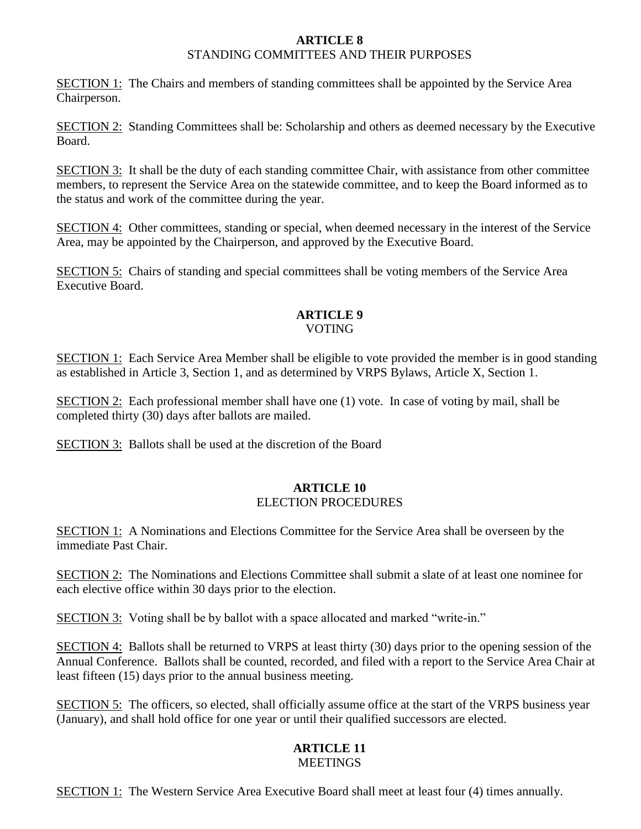#### **ARTICLE 8** STANDING COMMITTEES AND THEIR PURPOSES

SECTION 1: The Chairs and members of standing committees shall be appointed by the Service Area Chairperson.

SECTION 2: Standing Committees shall be: Scholarship and others as deemed necessary by the Executive Board.

SECTION 3: It shall be the duty of each standing committee Chair, with assistance from other committee members, to represent the Service Area on the statewide committee, and to keep the Board informed as to the status and work of the committee during the year.

SECTION 4: Other committees, standing or special, when deemed necessary in the interest of the Service Area, may be appointed by the Chairperson, and approved by the Executive Board.

SECTION 5: Chairs of standing and special committees shall be voting members of the Service Area Executive Board.

#### **ARTICLE 9** VOTING

SECTION 1: Each Service Area Member shall be eligible to vote provided the member is in good standing as established in Article 3, Section 1, and as determined by VRPS Bylaws, Article X, Section 1.

SECTION 2: Each professional member shall have one (1) vote. In case of voting by mail, shall be completed thirty (30) days after ballots are mailed.

SECTION 3: Ballots shall be used at the discretion of the Board

### **ARTICLE 10** ELECTION PROCEDURES

SECTION 1: A Nominations and Elections Committee for the Service Area shall be overseen by the immediate Past Chair.

SECTION 2: The Nominations and Elections Committee shall submit a slate of at least one nominee for each elective office within 30 days prior to the election.

SECTION 3: Voting shall be by ballot with a space allocated and marked "write-in."

SECTION 4: Ballots shall be returned to VRPS at least thirty (30) days prior to the opening session of the Annual Conference. Ballots shall be counted, recorded, and filed with a report to the Service Area Chair at least fifteen (15) days prior to the annual business meeting.

SECTION 5: The officers, so elected, shall officially assume office at the start of the VRPS business year (January), and shall hold office for one year or until their qualified successors are elected.

#### **ARTICLE 11 MEETINGS**

SECTION 1: The Western Service Area Executive Board shall meet at least four (4) times annually.